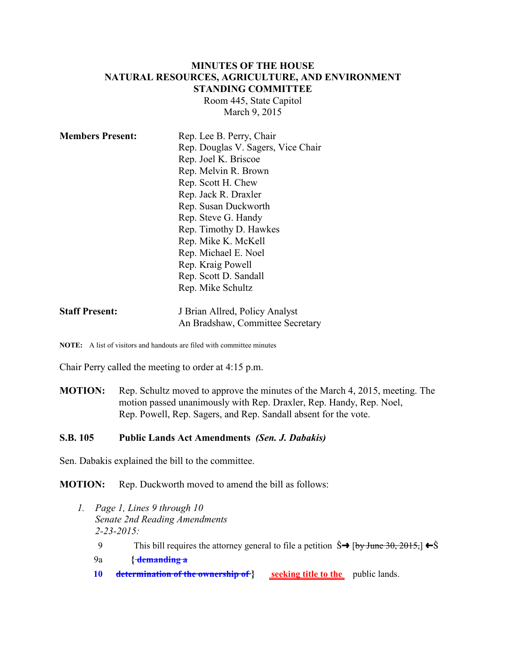### **MINUTES OF THE HOUSE NATURAL RESOURCES, AGRICULTURE, AND ENVIRONMENT STANDING COMMITTEE**

Room 445, State Capitol March 9, 2015

| <b>Members Present:</b> | Rep. Lee B. Perry, Chair           |
|-------------------------|------------------------------------|
|                         | Rep. Douglas V. Sagers, Vice Chair |
|                         | Rep. Joel K. Briscoe               |
|                         | Rep. Melvin R. Brown               |
|                         | Rep. Scott H. Chew                 |
|                         | Rep. Jack R. Draxler               |
|                         | Rep. Susan Duckworth               |
|                         | Rep. Steve G. Handy                |
|                         | Rep. Timothy D. Hawkes             |
|                         | Rep. Mike K. McKell                |
|                         | Rep. Michael E. Noel               |
|                         | Rep. Kraig Powell                  |
|                         | Rep. Scott D. Sandall              |
|                         | Rep. Mike Schultz                  |
|                         |                                    |

| <b>Staff Present:</b> | J Brian Allred, Policy Analyst   |
|-----------------------|----------------------------------|
|                       | An Bradshaw, Committee Secretary |

**NOTE:** A list of visitors and handouts are filed with committee minutes

Chair Perry called the meeting to order at 4:15 p.m.

**MOTION:** Rep. Schultz moved to approve the minutes of the March 4, 2015, meeting. The motion passed unanimously with Rep. Draxler, Rep. Handy, Rep. Noel, Rep. Powell, Rep. Sagers, and Rep. Sandall absent for the vote.

#### **S.B. 105 Public Lands Act Amendments** *(Sen. J. Dabakis)*

Sen. Dabakis explained the bill to the committee.

**MOTION:** Rep. Duckworth moved to amend the bill as follows:

- *1. Page 1, Lines 9 through 10 Senate 2nd Reading Amendments 2-23-2015:*
	- 9 This bill requires the attorney general to file a petition  $\hat{S} \rightarrow [by June 30, 2015, ] \leftarrow \hat{S}$
	- 9a **{ demanding a**
	- **10 determination of the ownership of } seeking title to the** public lands.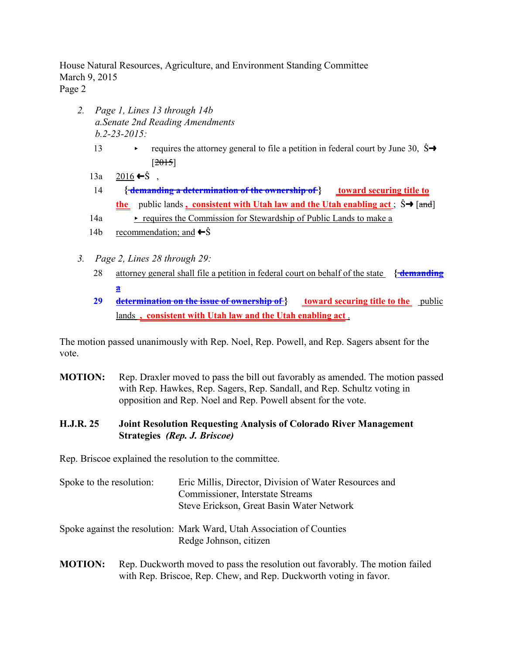House Natural Resources, Agriculture, and Environment Standing Committee March 9, 2015 Page 2

- *2. Page 1, Lines 13 through 14b a.Senate 2nd Reading Amendments b.2-23-2015:*
	- 13 requires the attorney general to file a petition in federal court by June 30,  $\dot{S} \rightarrow$  $[2015]$
	- 13a  $2016 \div \hat{S}$ .
	- 14 **{ demanding a determination of the ownership of } toward securing title to the** public lands **, consistent with Utah law and the Utah enabling act** ;  $\hat{S} \rightarrow$  [and]
	- $14a \rightarrow$  requires the Commission for Stewardship of Public Lands to make a
	- 14b recommendation; and  $\leftarrow$  Ŝ
- *3. Page 2, Lines 28 through 29:*
	- 28 attorney general shall file a petition in federal court on behalf of the state **{ demanding a**
	- **29 determination on the issue of ownership of } toward securing title to the** public lands **, consistent with Utah law and the Utah enabling act** .

The motion passed unanimously with Rep. Noel, Rep. Powell, and Rep. Sagers absent for the vote.

**MOTION:** Rep. Draxler moved to pass the bill out favorably as amended. The motion passed with Rep. Hawkes, Rep. Sagers, Rep. Sandall, and Rep. Schultz voting in opposition and Rep. Noel and Rep. Powell absent for the vote.

### **H.J.R. 25 Joint Resolution Requesting Analysis of Colorado River Management Strategies** *(Rep. J. Briscoe)*

Rep. Briscoe explained the resolution to the committee.

- Spoke to the resolution: Eric Millis, Director, Division of Water Resources and Commissioner, Interstate Streams Steve Erickson, Great Basin Water Network
- Spoke against the resolution: Mark Ward, Utah Association of Counties Redge Johnson, citizen
- **MOTION:** Rep. Duckworth moved to pass the resolution out favorably. The motion failed with Rep. Briscoe, Rep. Chew, and Rep. Duckworth voting in favor.